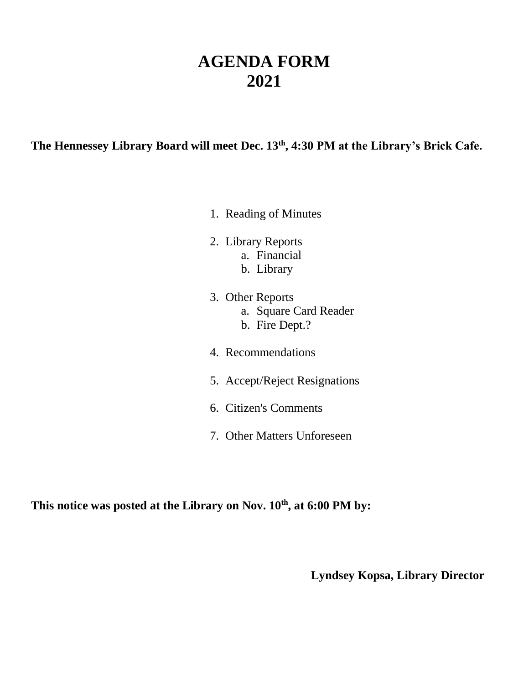## **AGENDA FORM 2021**

**The Hennessey Library Board will meet Dec. 13th , 4:30 PM at the Library's Brick Cafe.**

- 1. Reading of Minutes
- 2. Library Reports a. Financial
	- b. Library
- 3. Other Reports a. Square Card Reader b. Fire Dept.?
- 4. Recommendations
- 5. Accept/Reject Resignations
- 6. Citizen's Comments
- 7. Other Matters Unforeseen

This notice was posted at the Library on Nov.  $10^{th}$ , at 6:00 PM by:

**Lyndsey Kopsa, Library Director**